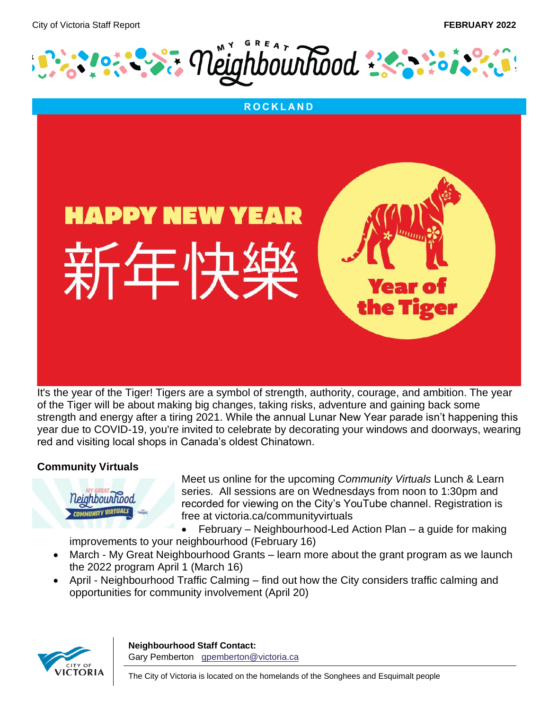



of the Tiger will be about making big changes, taking risks, adventure and gaining back some strength and energy after a tiring 2021. While the annual Lunar New Year parade isn't happening this year due to COVID-19, you're invited to celebrate by decorating your windows and doorways, wearing red and visiting local shops in Canada's oldest Chinatown.

# **Community Virtuals**



Meet us online for the upcoming *Community Virtuals* Lunch & Learn series. All sessions are on Wednesdays from noon to 1:30pm and recorded for viewing on the City's YouTube channel. Registration is free at victoria.ca/communityvirtuals

• February – Neighbourhood-Led Action Plan – a guide for making improvements to your neighbourhood (February 16)

- March My Great Neighbourhood Grants learn more about the grant program as we launch the 2022 program April 1 (March 16)
- April Neighbourhood Traffic Calming find out how the City considers traffic calming and opportunities for community involvement (April 20)

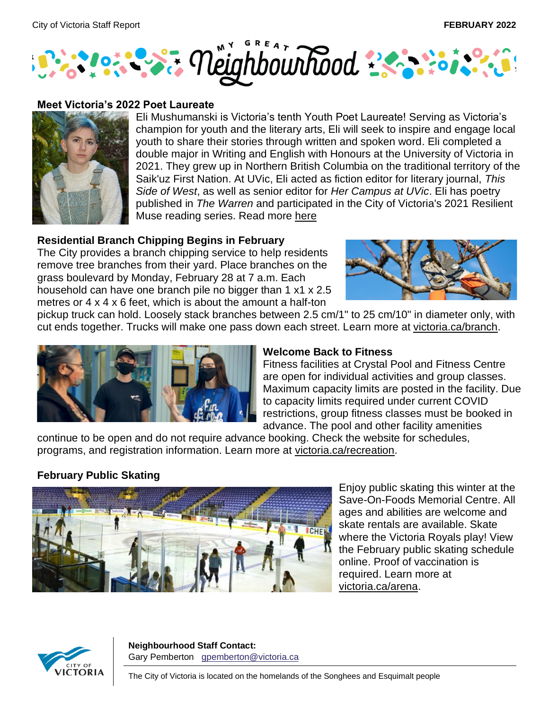

### **Meet Victoria's 2022 Poet Laureate**



Eli Mushumanski is Victoria's tenth Youth Poet Laureate! Serving as Victoria's champion for youth and the literary arts, Eli will seek to inspire and engage local youth to share their stories through written and spoken word. Eli completed a double major in Writing and English with Honours at the University of Victoria in 2021. They grew up in Northern British Columbia on the traditional territory of the Saik'uz First Nation. At UVic, Eli acted as fiction editor for literary journal, *This Side of West*, as well as senior editor for *Her Campus at UVic*. Eli has poetry published in *The Warren* and participated in the City of Victoria's 2021 Resilient Muse reading series. Read more [here](https://www.victoria.ca/EN/main/residents/culture/poet-laureate/2019-youth-poet-laureate.html)

## **Residential Branch Chipping Begins in February**

The City provides a branch chipping service to help residents remove tree branches from their yard. Place branches on the grass boulevard by Monday, February 28 at 7 a.m. Each household can have one branch pile no bigger than 1 x1 x 2.5 metres or 4 x 4 x 6 feet, which is about the amount a half-ton



pickup truck can hold. Loosely stack branches between 2.5 cm/1" to 25 cm/10" in diameter only, with cut ends together. Trucks will make one pass down each street. Learn more at [victoria.ca/branch.](https://can01.safelinks.protection.outlook.com/?url=https%3A%2F%2Fwww.victoria.ca%2FEN%2Fmain%2Fresidents%2Fparks%2Fbranch-chipping.html&data=04%7C01%7Ckstratford%40victoria.ca%7Cff7b7e5b66fc4622186c08d9e02e1d12%7Cd7098116c6e84d2a89eedb15b6c23375%7C0%7C0%7C637787310926734837%7CUnknown%7CTWFpbGZsb3d8eyJWIjoiMC4wLjAwMDAiLCJQIjoiV2luMzIiLCJBTiI6Ik1haWwiLCJXVCI6Mn0%3D%7C3000&sdata=pzR7WnYy9ZsCmZ8LyLyxo7O1fSee0usMpuTRLy0SX9Y%3D&reserved=0)



#### **Welcome Back to Fitness**

Fitness facilities at Crystal Pool and Fitness Centre are open for individual activities and group classes. Maximum capacity limits are posted in the facility. Due to capacity limits required under current COVID restrictions, group fitness classes must be booked in advance. The pool and other facility amenities

continue to be open and do not require advance booking. Check the website for schedules, programs, and registration information. Learn more at [victoria.ca/recreation.](https://can01.safelinks.protection.outlook.com/?url=https%3A%2F%2Fwww.victoria.ca%2FEN%2Fmain%2Fresidents%2Frecreation.html&data=04%7C01%7Ckstratford%40victoria.ca%7Cff7b7e5b66fc4622186c08d9e02e1d12%7Cd7098116c6e84d2a89eedb15b6c23375%7C0%7C0%7C637787310926734837%7CUnknown%7CTWFpbGZsb3d8eyJWIjoiMC4wLjAwMDAiLCJQIjoiV2luMzIiLCJBTiI6Ik1haWwiLCJXVCI6Mn0%3D%7C3000&sdata=doBwG7hiVoTYtxBt%2FGOo1%2FPig%2FjO8W2YCYPFwPu4a0c%3D&reserved=0)

# **February Public Skating**



Enjoy public skating this winter at the Save-On-Foods Memorial Centre. All ages and abilities are welcome and skate rentals are available. Skate where the Victoria Royals play! View the February public skating schedule online. Proof of vaccination is required. Learn more at [victoria.ca/arena.](https://can01.safelinks.protection.outlook.com/?url=https%3A%2F%2Fwww.victoria.ca%2FEN%2Fmain%2Fresidents%2Ffacilities%2Fsave-on-foods.html&data=04%7C01%7Ckstratford%40victoria.ca%7Cff7b7e5b66fc4622186c08d9e02e1d12%7Cd7098116c6e84d2a89eedb15b6c23375%7C0%7C0%7C637787310926734837%7CUnknown%7CTWFpbGZsb3d8eyJWIjoiMC4wLjAwMDAiLCJQIjoiV2luMzIiLCJBTiI6Ik1haWwiLCJXVCI6Mn0%3D%7C3000&sdata=JinQppaC5PfsIlqzt6Wl%2BdnLl9ezvzrGtp8zKUIIyNo%3D&reserved=0)

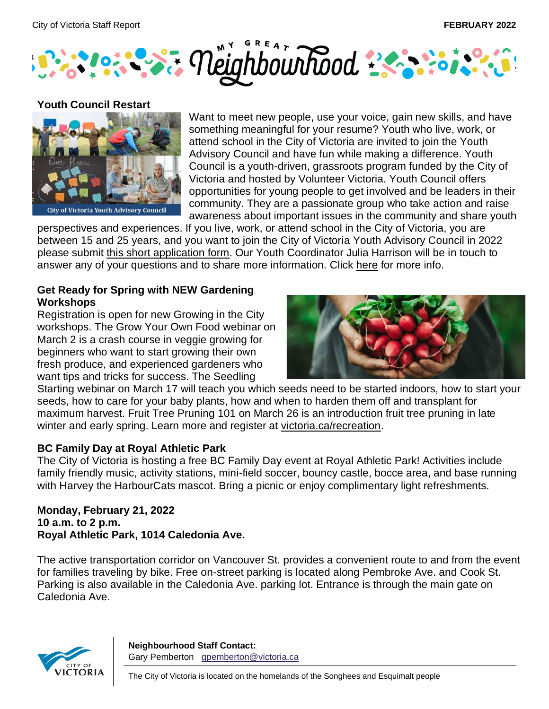



#### **Youth Council Restart**



Want to meet new people, use your voice, gain new skills, and have something meaningful for your resume? Youth who live, work, or attend school in the City of Victoria are invited to join the Youth Advisory Council and have fun while making a difference. Youth Council is a youth-driven, grassroots program funded by the City of Victoria and hosted by Volunteer Victoria. Youth Council offers opportunities for young people to get involved and be leaders in their community. They are a passionate group who take action and raise awareness about important issues in the community and share youth

perspectives and experiences. If you live, work, or attend school in the City of Victoria, you are between 15 and 25 years, and you want to join the City of Victoria Youth Advisory Council in 2022 please submit [this short application form.](https://can01.safelinks.protection.outlook.com/?url=https%3A%2F%2Fwww.surveymonkey.com%2Fr%2F2021YouthAdvisoryCouncil&data=04%7C01%7Ckstratford%40victoria.ca%7C40052cd277194f76f93e08d9dd265b22%7Cd7098116c6e84d2a89eedb15b6c23375%7C0%7C0%7C637783979074141531%7CUnknown%7CTWFpbGZsb3d8eyJWIjoiMC4wLjAwMDAiLCJQIjoiV2luMzIiLCJBTiI6Ik1haWwiLCJXVCI6Mn0%3D%7C3000&sdata=TXbGi4ePgxcHL%2B7SzMFUlU2FQiL40wU1W%2BQ4y6twvGc%3D&reserved=0) Our Youth Coordinator Julia Harrison will be in touch to answer any of your questions and to share more information. Click [here](https://can01.safelinks.protection.outlook.com/?url=https%3A%2F%2Fcvyc.ca%2F&data=04%7C01%7Ckstratford%40victoria.ca%7C40052cd277194f76f93e08d9dd265b22%7Cd7098116c6e84d2a89eedb15b6c23375%7C0%7C0%7C637783979074141531%7CUnknown%7CTWFpbGZsb3d8eyJWIjoiMC4wLjAwMDAiLCJQIjoiV2luMzIiLCJBTiI6Ik1haWwiLCJXVCI6Mn0%3D%7C3000&sdata=Gh%2BgwsLBtHNSNvEnktLc5Mtz73xBZlXfYWlqetnVU80%3D&reserved=0) for more info.

## **Get Ready for Spring with NEW Gardening Workshops**

Registration is open for new Growing in the City workshops. The Grow Your Own Food webinar on March 2 is a crash course in veggie growing for beginners who want to start growing their own fresh produce, and experienced gardeners who want tips and tricks for success. The Seedling



Starting webinar on March 17 will teach you which seeds need to be started indoors, how to start your seeds, how to care for your baby plants, how and when to harden them off and transplant for maximum harvest. Fruit Tree Pruning 101 on March 26 is an introduction fruit tree pruning in late winter and early spring. Learn more and register at [victoria.ca/recreation.](https://can01.safelinks.protection.outlook.com/?url=https%3A%2F%2Fwww.victoria.ca%2FEN%2Fmain%2Fresidents%2Frecreation.html&data=04%7C01%7Ckstratford%40victoria.ca%7Cff7b7e5b66fc4622186c08d9e02e1d12%7Cd7098116c6e84d2a89eedb15b6c23375%7C0%7C0%7C637787310926734837%7CUnknown%7CTWFpbGZsb3d8eyJWIjoiMC4wLjAwMDAiLCJQIjoiV2luMzIiLCJBTiI6Ik1haWwiLCJXVCI6Mn0%3D%7C3000&sdata=doBwG7hiVoTYtxBt%2FGOo1%2FPig%2FjO8W2YCYPFwPu4a0c%3D&reserved=0)

# **BC Family Day at Royal Athletic Park**

The City of Victoria is hosting a free BC Family Day event at Royal Athletic Park! Activities include family friendly music, activity stations, mini-field soccer, bouncy castle, bocce area, and base running with Harvey the HarbourCats mascot. Bring a picnic or enjoy complimentary light refreshments.

#### **Monday, February 21, 2022 10 a.m. to 2 p.m. Royal Athletic Park, 1014 Caledonia Ave.**

The active transportation corridor on Vancouver St. provides a convenient route to and from the event for families traveling by bike. Free on-street parking is located along Pembroke Ave. and Cook St. Parking is also available in the Caledonia Ave. parking lot. Entrance is through the main gate on Caledonia Ave.